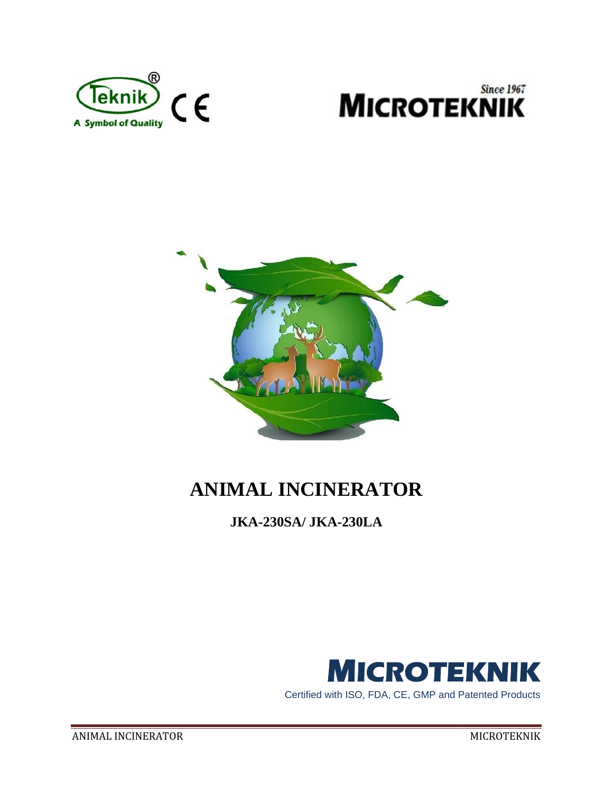





# **ANIMAL INCINERATOR**

**JKA-230SA/ JKA-230LA**



Certified with ISO, FDA, CE, GMP and Patented Products Certified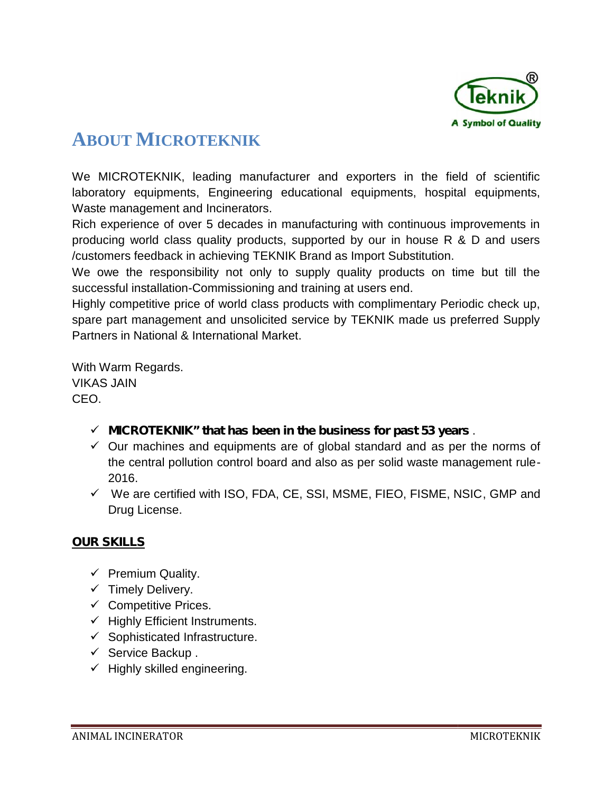

## **ABOUT MICROTEKNIK A**

We MICROTEKNIK, leading manufacturer and exporters in the field of scientific laboratory equipments, Engineering educational equipments, hospital equipments, Waste management and Incinerators.

Rich experience of over 5 decades in manufacturing with continuous improvements in laboratory equipments, Engineering educational equipments, hospital equipments,<br>Waste management and Incinerators.<br>Rich experience of over 5 decades in manufacturing with continuous improvements in<br>producing world class qu /customers feedback in achieving TEKNIK Brand as Import Substitution.

We owe the responsibility not only to supply quality products on time but till the successful installation-Commissioning and training at users end. mers feedback in achieving TEKNIK Brand as Import Substitution.<br>we the responsibility not only to supply quality products on time but till the<br>ssful installation-Commissioning and training at users end.<br>competitive price o

Highly competitive price of world class products with complimentary Periodic check up, spare part management and unsolicited service by TEKNIK made us preferred Supply Partners in National & International Market.

With Warm Regards. With VIKAS JAIN CEO.

- $\checkmark$  MICROTEKNIK" that has been in the business for past 53 years .
- $\checkmark$  Our machines and equipments are of global standard and as per the norms of the central pollution control board and also as per solid waste management rule- 2016.  $\checkmark$  Our machines and equipments are of global standard and as per the norms of the central pollution control board and also as per solid waste management rule-<br>2016.
- $\checkmark$  We are certified with ISO, FDA, CE, SSI, MSME, FIEO, FISME, NSIC, GMP and Drug License.

#### **OUR SKILLS**

- $\checkmark$  Premium Quality.
- $\checkmark$  Timely Delivery.
- $\checkmark$  Competitive Prices.
- $\checkmark$  Highly Efficient Instruments.
- $\checkmark$  Sophisticated Infrastructure. V Timely Delivery.<br>V Competitive Prices.<br>V Highly Efficient Instru<br>V Sophisticated Infrastri<br>V Service Backup .
- $\checkmark$  Service Backup.
- $\checkmark$  Highly skilled engineering.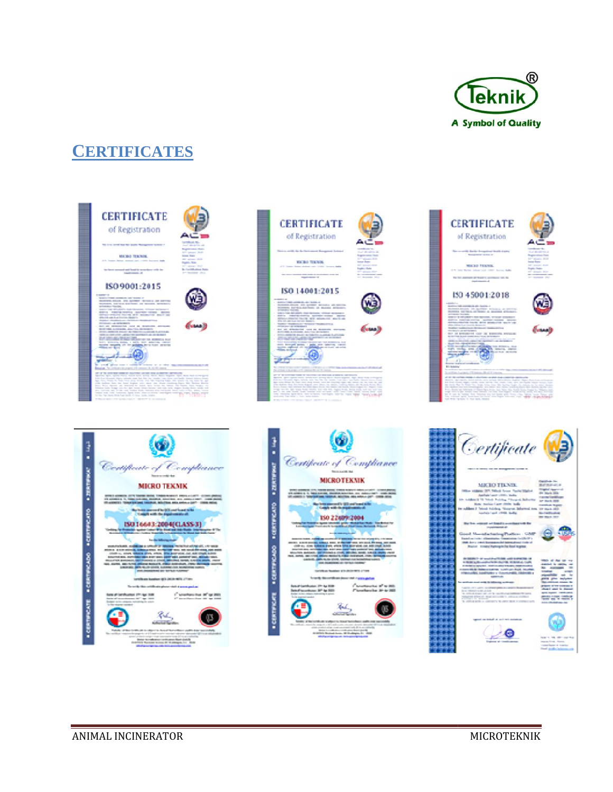

## **CERTIFICATES**





**CERTIFICATE** 





MICRO TENNIS, Inc., Lan **State control of the first product of the State** 



#### 150 45001:2018

in Alia kacam **The Court College Countries**  $\delta$ 



œ





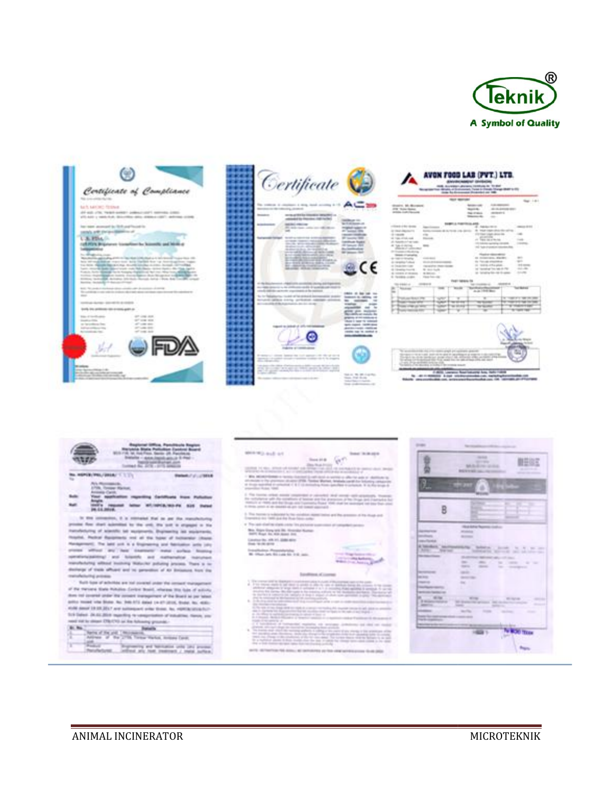





|                                                                                                                                                                                                                                                                                                                                                                                                                                                                     | <b>TRUT SERVICE</b>                                                                                                                                                                                                                                                                                              |                                |                                                                                                                                                                                                                                                                                                                                                                                                                                                                                         |
|---------------------------------------------------------------------------------------------------------------------------------------------------------------------------------------------------------------------------------------------------------------------------------------------------------------------------------------------------------------------------------------------------------------------------------------------------------------------|------------------------------------------------------------------------------------------------------------------------------------------------------------------------------------------------------------------------------------------------------------------------------------------------------------------|--------------------------------|-----------------------------------------------------------------------------------------------------------------------------------------------------------------------------------------------------------------------------------------------------------------------------------------------------------------------------------------------------------------------------------------------------------------------------------------------------------------------------------------|
| structure, Mr. Mouranced<br>2700 TRANSVERSELL CO.<br><b>John Latitude</b>                                                                                                                                                                                                                                                                                                                                                                                           |                                                                                                                                                                                                                                                                                                                  | Antarctate<br><b>Barriotti</b> | <b>CALCULATION</b><br>49-14039-1-120-2<br><b>NATIONAL CONTINUES COMPANY</b>                                                                                                                                                                                                                                                                                                                                                                                                             |
| CONTRACTORY INTERNATIONAL<br>a resultance<br>of consider the con-<br><b>COL</b><br>All Train of the case.<br><b>Standard Co.</b><br>A Restrict Program<br>All "Each of channels - "<br>alliance of calibration<br>In Contract Guidera -<br><b>Senato Charleston</b><br>contractors.<br>de visito en lancalista<br>A research Automo-<br>and Company Company Company<br>All Chrysler Council<br>\$5.000 per continents. 11<br><b>Millenger</b><br><b>Clean Falls</b> | 114,040<br>South Consults & G. To the Johnson<br>do also de la questa companha<br><b>CALCULATION PRODUCTS</b><br>the second control.                                                                                                                                                                             | and address of<br>the control  | 4 NAMES OF GROOM<br>the result completely through the<br>allow those industry demanding.<br>$-1000$<br>A Germania 11<br><b>County</b><br>THE SALES INCOME CONTROL<br><b>COMPANY</b><br>ni f<br>All make important relevation data.<br>Playing without relevant<br>to columns, started<br>$-$<br>$-200$<br>the Channels streamlines -<br><b>COLUMN</b><br>to testimate and a control of<br>and the "<br>tell "considerable" from halds the PRF.<br>ALCOHOL:<br>at telephonic or dealers. |
| 100910-01                                                                                                                                                                                                                                                                                                                                                                                                                                                           |                                                                                                                                                                                                                                                                                                                  | ALL 1949 Box                   | AMARINE 1<br><b>SUPERING</b>                                                                                                                                                                                                                                                                                                                                                                                                                                                            |
| table page 1980 and in 1999.                                                                                                                                                                                                                                                                                                                                                                                                                                        | $\rightarrow$                                                                                                                                                                                                                                                                                                    |                                | <b>CARD AT IT WANT THE THE</b><br>$\rightarrow$                                                                                                                                                                                                                                                                                                                                                                                                                                         |
| to the trip in the 1 to                                                                                                                                                                                                                                                                                                                                                                                                                                             | to this price realize spage prices man<br>to be a paid. Seale will be subjected to support the program of straight the<br>the day transfer part strength where I was selected and a<br>after three destruction from and the lan and article lifet, and spen<br><b>Selle For USA</b><br><b><i>CONTRACTORY</i></b> |                                |                                                                                                                                                                                                                                                                                                                                                                                                                                                                                         |

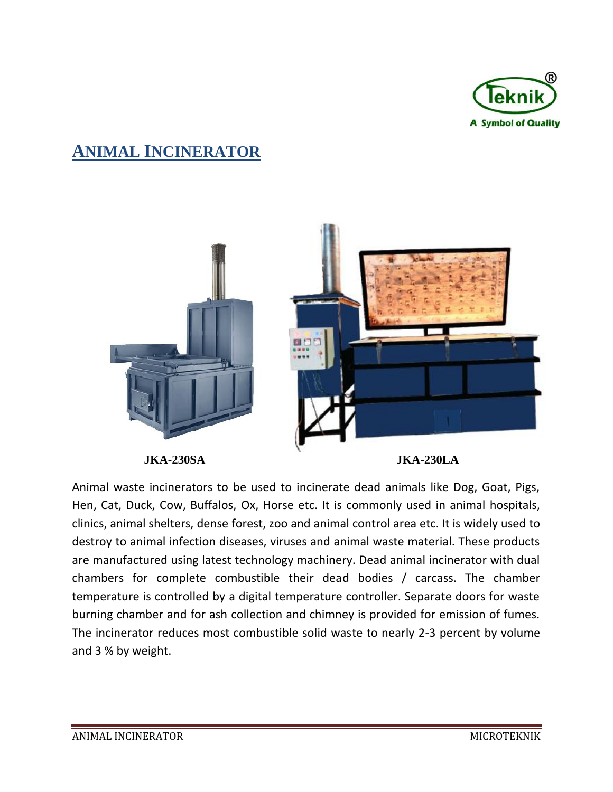

## **ANIMAL INCINERATOR**



**JKA-230SA JKA-230LA JKA-230LA**

Animal waste incinerators to be used to incinerate dead animals like Dog, Goat, Pigs, Hen, Cat, Duck, Cow, Buffalos, Ox, Horse etc. It is commonly used in animal hospitals, clinics, animal shelters, dense forest, zoo and animal control area etc. It is widely used to destroy to animal infection diseases, viruses and animal waste material. These products are manufactured using latest technology machinery. Dead animal incinerator with dual chambers for complete combustible their dead bodies / carcass. The chamber temperature is controlled by a digital temperature controller chambers for complete combustible their dead bodies / carcass. The chamber temperature is controlled by a digital temperature controller. Separate doors for waste burning chamber and for ash collection and chimney is provided for emission of fumes. The incinerator reduces most combustible solid waste to nearly 2-3 percent by volume and 3 % by weight. Hen, Cat, Duck, Cow, Buffalos, Ox, Horse etc. It is commonly used in animal hospitals,<br>clinics, animal shelters, dense forest, zoo and animal control area etc. It is widely used to<br>destroy to animal infection diseases, vir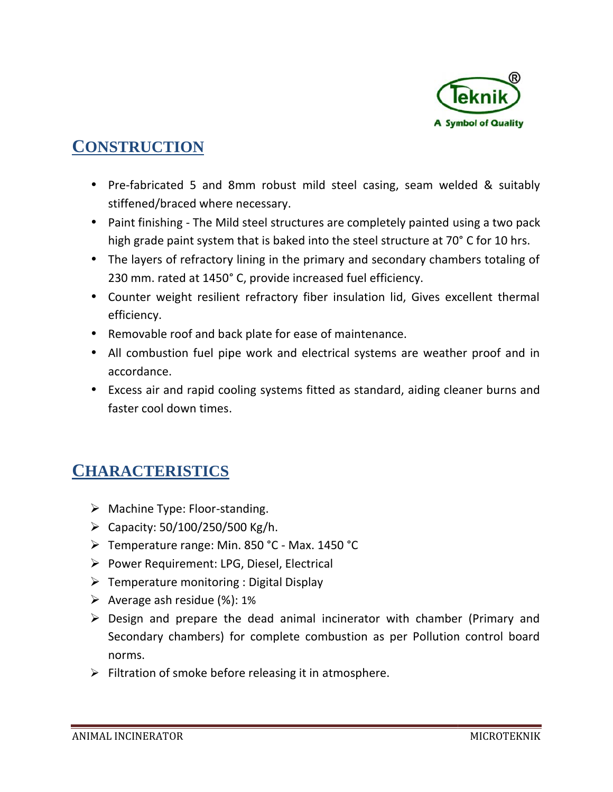

## **CONSTRUCTION**

- ) Pre-fabricated 5 and 8mm robust mild steel casing, seam welded & suitably stiffened/braced where necessary.
- Paint finishing The Mild steel structures are completely painted using a two pack high grade paint system that is baked into the steel structure at 70° C for 10 hrs.
- The layers of refractory lining in the primary and secondary chambers totaling of 230 mm. rated at 1450° C, provide increased fuel efficiency. Framerican and State is tructures are completely painted using a two pack<br>
high grade paint system that is baked into the steel structure at 70° C for 10 hrs.<br>
The layers of refractory lining in the primary and secondary c
- efficiency.
- Removable roof and back plate for ease of maintenance.
- All combustion fuel pipe work and electrical systems are weather proof and in accordance.
- Excess air and rapid cooling systems fitted as standard, aiding cleaner burns and faster cool down times. All combustion fuel pipe work and electrical systems are wea<br>accordance.<br>Excess air and rapid cooling systems fitted as standard, aiding<br>faster cool down times.

## **CHARACTERISTICS**

- > Machine Type: Floor-standing.
- $\triangleright$  Capacity: 50/100/250/500 Kg/h.
- > Temperature range: Min. 850 °C Max. 1450 °C
- $\triangleright$  Power Requirement: LPG, Diesel, Electrical
- $\triangleright$  Temperature monitoring : Digital Display
- $\triangleright$  Average ash residue (%): 1%
- $\triangleright$  Design and prepare the dead animal incinerator with chamber (Primary and Secondary chambers) for complete combustion as per Pollution control board norms. ed 5 and 8mm robust mild steel casing, seam<br>aced where necessary.<br>Ing - The Mild steel structures are completely paint<br>abint system that is baked into the steel structure a<br>f refractory lining in the primary and secondary
- $\triangleright$  Filtration of smoke before releasing it in atmosphere.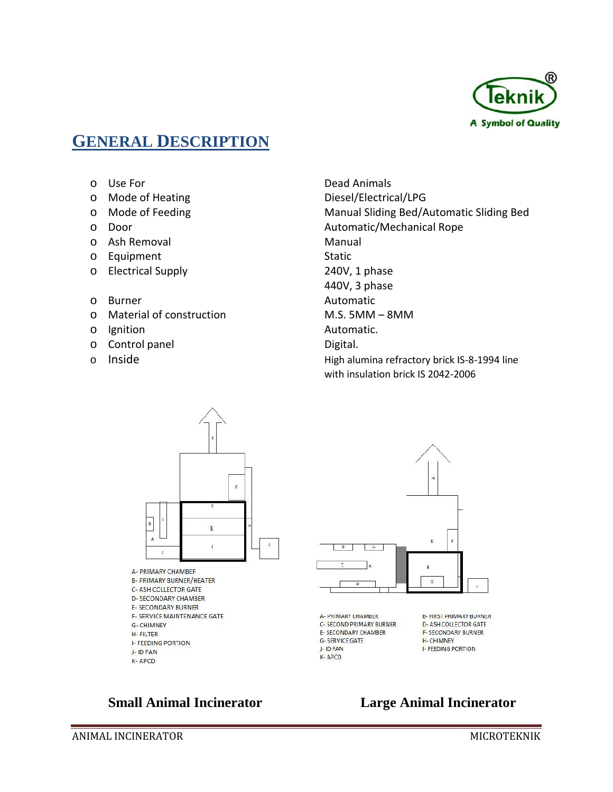

## **GENERAL DESCRIPTION**

- 
- 
- 
- 
- o Ash Removal Manual
- o Equipment Static
- o Electrical Supply 240V, 1 phase
- o Burner **Automatic**
- o Material of construction M.S. 5MM 8MM
- 
- o Control panel **Digital**.
- 

o Use For Dead Animals o Mode of Heating Diesel/Electrical/LPG o Mode of Feeding Manual Sliding Bed/Automatic Sliding Bed o Door Automatic/Mechanical Rope 440V, 3 phase o Ignition **Automatic.** o Inside **High alumina refractory brick IS-8-1994** line **high alumina refractory brick IS-8-1994** line with insulation brick IS 2042-2006





#### **Small Animal Incinerator Large Animal Incinerator**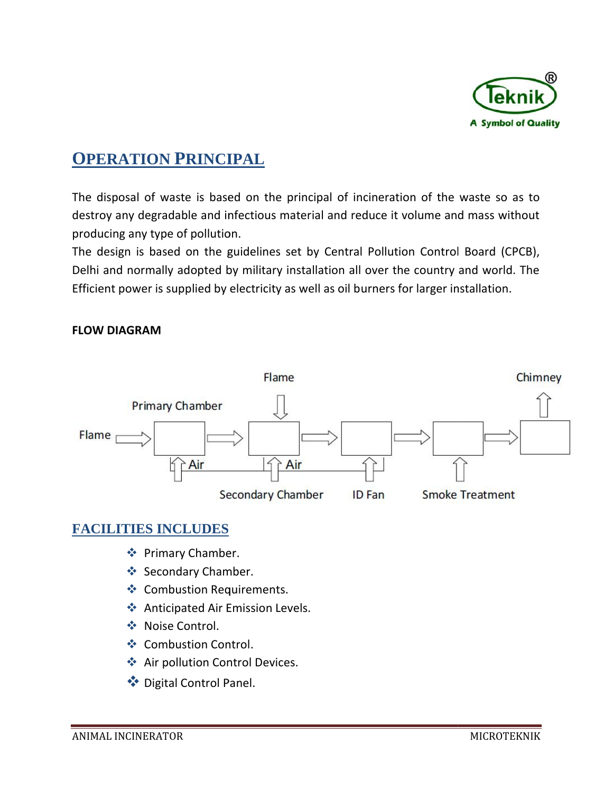

## **OPERATION PRINCIPAL RINCIPAL**

The disposal of waste is based on the principal of incineration of the waste so as to destroy any degradable and infectious material and reduce it volume and mass without producing any type of pollution.

The design is based on the guidelines set by Central Pollution Control Board (CPCB), Delhi and normally adopted by military installation all over the country and world. The Efficient power is supplied by electricity as well as oil burners for larger installation. gradable and infectious material and reduce it volume and mass withou<br>type of pollution.<br>based on the guidelines set by Central Pollution Control Board (CPCB)<br>nally adopted by military installation all over the country and

#### **FLOW DIAGRAM**



#### **FACILITIES INCLUDES FACILITIES INCLUDES**

- **❖** Primary Chamber.
- Secondary Chamber.
- **❖** Combustion Requirements.
- ◆ Anticipated Air Emission Levels.
- **❖** Noise Control.
- ❖ Combustion Control.
- ❖ Air pollution Control Devices.<br>❖ Digital Control Panel.
- ◆ Digital Control Panel.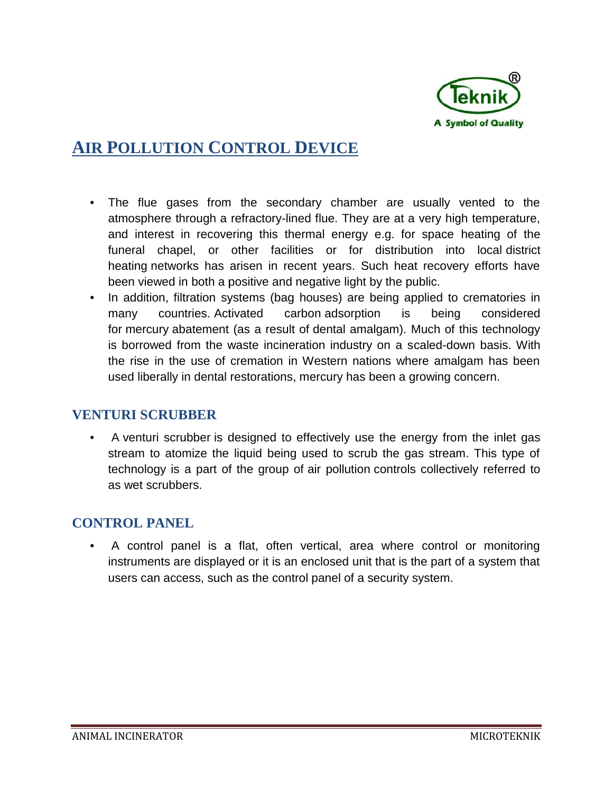

## **AIR POLLUTION CONTROL DEVICE EVICE**

- The flue gases from the secondary chamber are usually vented to the atmosphere through a refractory-lined flue. They are at a very high temperature, atmosphere through a refractory-lined flue. They are at a very high temperature,<br>and interest in recovering this thermal energy e.g. for space heating of the funeral chapel, or other facilities or for distribution into local-district heating networks has arisen in recent years. Such heat recovery efforts have has been viewed in both a positive and negative light by the public.
- In addition, filtration systems (bag houses) are being applied to crematories in many countries. Activated carbon adsorption is being considered for mercury abatement (as a result of dental amalgam). Much of this technology is borrowed from the waste incineration industry on a scaled-down basis. With the rise in the use of cremation in Western nations where amalgam has been used liberally in dental restorations, mercury has been a growing concern. In addition, filtration systems (bag houses) are being applied to crematories in<br>many countries. Activated carbon adsorption is being considered<br>for mercury abatement (as a result of dental amalgam). Much of this technolog is in recovering this thermal energy e.g. for space hapel, or other facilities or for distribution into orks has arisen in recent years. Such heat recovery in both a positive and negative light by the public. filtration sy

#### **VENTURI SCRUBBER**

• A venturi scrubber is designed to effectively use the energy from the inlet gas stream to atomize the liquid being used to scrub the gas stream. This type of technology is a part of the group of air pollution controls collectively referred to as wet scrubbers.

#### **CONTROL PANEL**

• A control panel is a flat, often vertical, area where control or monitoring instruments are displayed or it is an enclosed unit that is the part of a system that users can access, such as the control panel of a security system.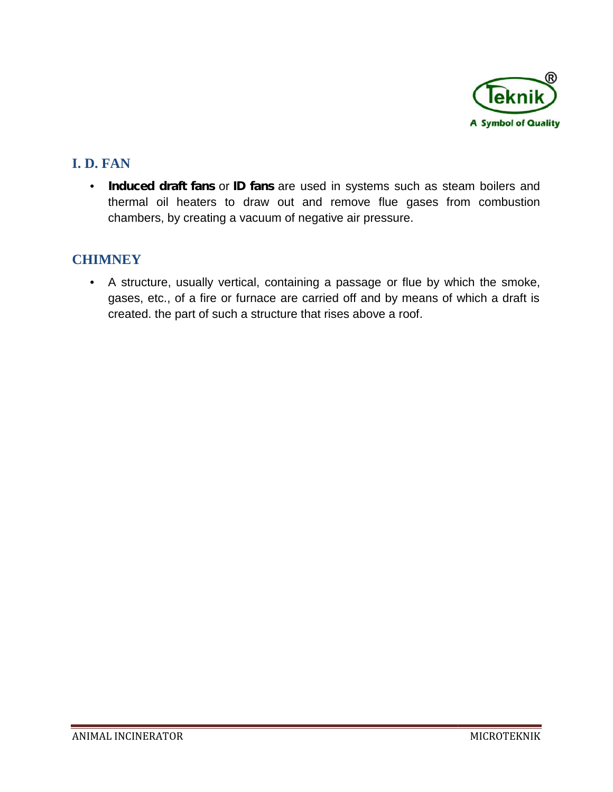

#### **I. D. FAN D.**

• **Induced draft fans** or **ID fans** are used in systems such as steam boilers and **Induced draft fans** or **ID fans** are used in systems such as steam boilers and<br>thermal oil heaters to draw out and remove flue gases from combustion chambers, by creating a vacuum of negative air pressure.

#### **CHIMNEY**

• A structure, usually vertical, containing a passage or flue by which the smoke, gases, etc., of a fire or furnace are carried off and by means of which a draft is created. the part of such a structure that rises above a roof. um of negative air pressure.<br>containing a passage or flue by which the smoke,<br>ce are carried off and by means of which a draft is<br>ucture that rises above a roof.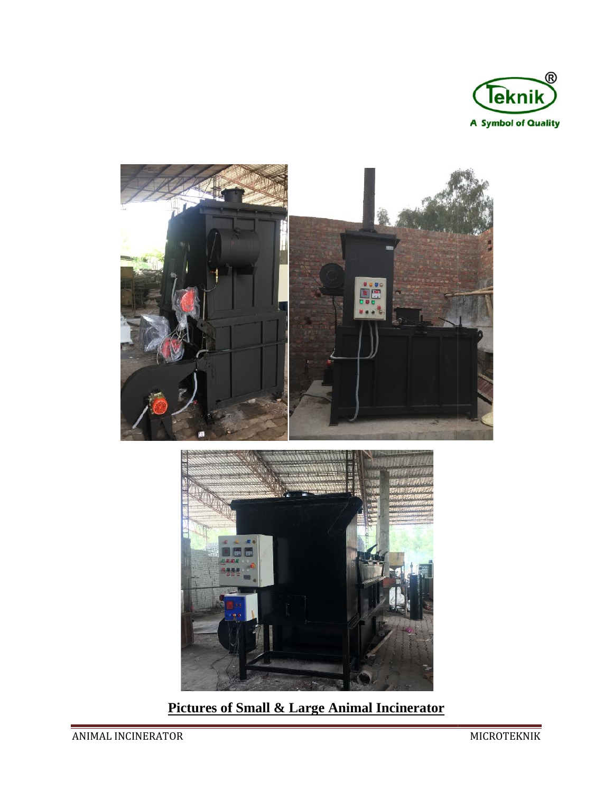



**Pictures of Small & Large Animal Incinerator**

ANIMAL INCINERATOR MICROTEKNIK